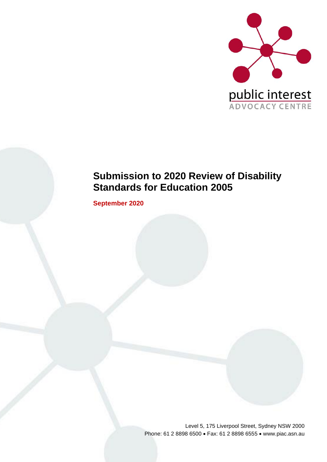

# **Submission to 2020 Review of Disability Standards for Education 2005**

**September 2020**

Level 5, 175 Liverpool Street, Sydney NSW 2000 Phone: 61 2 8898 6500 • Fax: 61 2 8898 6555 • www.piac.asn.au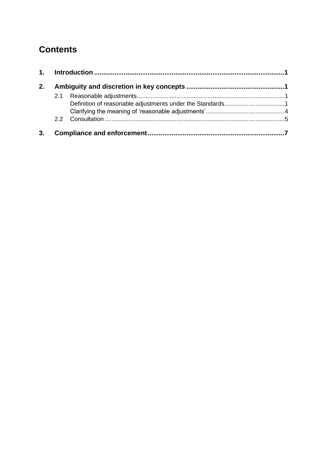# **Contents**

| 2. |  |  |  |
|----|--|--|--|
|    |  |  |  |
|    |  |  |  |
| 3. |  |  |  |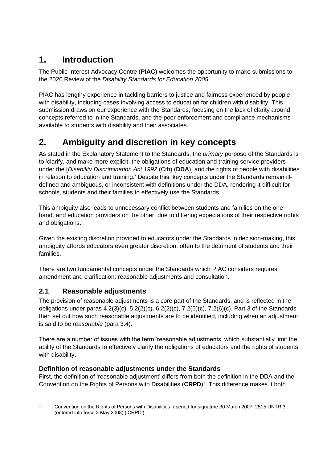## <span id="page-2-0"></span>**1. Introduction**

The Public Interest Advocacy Centre (**PIAC**) welcomes the opportunity to make submissions to the 2020 Review of the *Disability Standards for Education 2005*.

PIAC has lengthy experience in tackling barriers to justice and fairness experienced by people with disability, including cases involving access to education for children with disability. This submission draws on our experience with the Standards, focusing on the lack of clarity around concepts referred to in the Standards, and the poor enforcement and compliance mechanisms available to students with disability and their associates.

## <span id="page-2-1"></span>**2. Ambiguity and discretion in key concepts**

As stated in the Explanatory Statement to the Standards, the *primary* purpose of the Standards is to 'clarify, and make more explicit, the obligations of education and training service providers under the [*Disability Discrimination Act 1992* (Cth) (**DDA**)] and the rights of people with disabilities in relation to education and training.' Despite this, key concepts under the Standards remain illdefined and ambiguous, or inconsistent with definitions under the DDA, rendering it difficult for schools, students and their families to effectively use the Standards.

This ambiguity also leads to unnecessary conflict between students and families on the one hand, and education providers on the other, due to differing expectations of their respective rights and obligations.

Given the existing discretion provided to educators under the Standards in decision-making, this ambiguity affords educators even greater discretion, often to the detriment of students and their families.

There are two fundamental concepts under the Standards which PIAC considers requires amendment and clarification: reasonable adjustments and consultation.

## <span id="page-2-2"></span>**2.1 Reasonable adjustments**

The provision of reasonable adjustments is a core part of the Standards, and is reflected in the obligations under paras 4.2(3)(c), 5.2(2)(c), 6.2(2)(c), 7.2(5)(c), 7.2(6)(c). Part 3 of the Standards then set out how such reasonable adjustments are to be identified, including when an adjustment is said to be *reasonable* (para 3.4).

There are a number of issues with the term 'reasonable adjustments' which substantially limit the ability of the Standards to effectively clarify the obligations of educators and the rights of students with disability.

### <span id="page-2-3"></span>**Definition of reasonable adjustments under the Standards**

First, the definition of 'reasonable adjustment' differs from both the definition in the DDA and the Convention on the Rights of Persons with Disabilities (**CRPD**) 1 . This difference makes it both

<sup>1</sup> Convention on the Rights of Persons with Disabilities, opened for signature 30 March 2007, 2515 UNTR 3 (entered into force 3 May 2008) ('CRPD').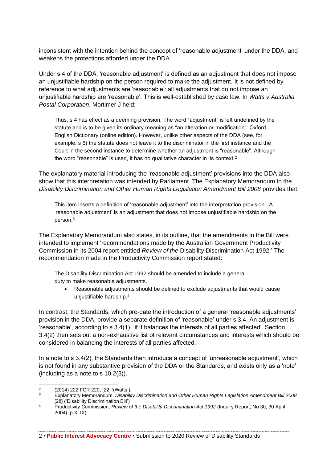inconsistent with the intention behind the concept of 'reasonable adjustment' under the DDA, and weakens the protections afforded under the DDA.

Under s 4 of the DDA, 'reasonable adjustment' is defined as an adjustment that does not impose an unjustifiable hardship on the person required to make the adjustment. It is not defined by reference to what adjustments are 'reasonable': all adjustments that do not impose an unjustifiable hardship are 'reasonable'. This is well-established by case law. In *Watts v Australia Postal Corporation*, Mortimer J held:

Thus, s 4 has effect as a deeming provision. The word "adjustment" is left undefined by the statute and is to be given its ordinary meaning as "an alteration or modification": Oxford English Dictionary (online edition). However, unlike other aspects of the DDA (see, for example, s 6) the statute does not leave it to the discriminator in the first instance and the Court in the second instance to determine whether an adjustment is "reasonable". Although the word "reasonable" is used, it has no qualitative character in its context.<sup>2</sup>

The explanatory material introducing the 'reasonable adjustment' provisions into the DDA also show that this interpretation was intended by Parliament. The Explanatory Memorandum to the *Disability Discrimination and Other Human Rights Legislation Amendment Bill 2008* provides that:

This item inserts a definition of 'reasonable adjustment' into the interpretation provision. A 'reasonable adjustment' is an adjustment that does not impose unjustifiable hardship on the person.<sup>3</sup>

The Explanatory Memorandum also states, in its outline, that the amendments in the Bill were intended to implement 'recommendations made by the Australian Government Productivity Commission in its 2004 report entitled *Review of the* Disability Discrimination Act 1992.' The recommendation made in the Productivity Commission report stated:

The Disability Discrimination Act 1992 should be amended to include a general duty to make reasonable adjustments.

• Reasonable adjustments should be defined to exclude adjustments that would cause unjustifiable hardship.<sup>4</sup>

In contrast, the Standards, which pre-date the introduction of a general 'reasonable adjustments' provision in the DDA, provide a separate definition of 'reasonable' under s 3.4. An adjustment is 'reasonable', according to s 3.4(1), 'if it balances the interests of all parties affected'. Section 3.4(2) then sets out a non-exhaustive list of relevant circumstances and interests which should be considered in balancing the interests of all parties affected.

In a note to s 3.4(2), the Standards then introduce a concept of 'unreasonable adjustment', which is not found in any substantive provision of the DDA or the Standards, and exists only as a 'note' (including as a note to s 10.2(3)).

2 • **Public Interest Advocacy Centre** • Submission to 2020 Review of Disability Standards

 $\mathfrak{p}$ (2014) 222 FCR 220, [22] '(Watts').

<sup>3</sup> Explanatory Memorandum, *Disability Discrimination and Other Human Rights Legislation Amendment Bill 2008* [28] ('Disability Discrimination Bill')

<sup>4</sup> Productivity Commission, *Review of the Disability Discrimination Act 1992* (Inquiry Report, No 30, 30 April 2004), p XLIX).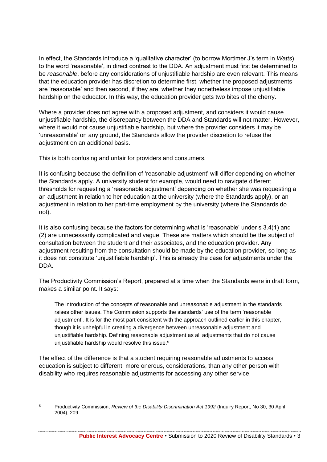In effect, the Standards introduce a 'qualitative character' (to borrow Mortimer J's term in *Watts*) to the word 'reasonable', in direct contrast to the DDA. An adjustment must first be determined to be *reasonable*, before any considerations of unjustifiable hardship are even relevant. This means that the education provider has discretion to determine first, whether the proposed adjustments are 'reasonable' and then second, if they are, whether they nonetheless impose unjustifiable hardship on the educator. In this way, the education provider gets two bites of the cherry.

Where a provider does not agree with a proposed adjustment, and considers it would cause unjustifiable hardship, the discrepancy between the DDA and Standards will not matter. However, where it would not cause unjustifiable hardship, but where the provider considers it may be 'unreasonable' on any ground, the Standards allow the provider discretion to refuse the adjustment on an additional basis.

This is both confusing and unfair for providers and consumers.

It is confusing because the definition of 'reasonable adjustment' will differ depending on whether the Standards apply. A university student for example, would need to navigate different thresholds for requesting a 'reasonable adjustment' depending on whether she was requesting a an adjustment in relation to her education at the university (where the Standards apply), or an adjustment in relation to her part-time employment by the university (where the Standards do not).

It is also confusing because the factors for determining what is 'reasonable' under s 3.4(1) and (2) are unnecessarily complicated and vague. These are matters which should be the subject of consultation between the student and their associates, and the education provider. Any adjustment resulting from the consultation should be made by the education provider, so long as it does not constitute 'unjustifiable hardship'. This is already the case for adjustments under the DDA.

The Productivity Commission's Report, prepared at a time when the Standards were in draft form, makes a similar point. It says:

The introduction of the concepts of reasonable and unreasonable adjustment in the standards raises other issues. The Commission supports the standards' use of the term 'reasonable adjustment'. It is for the most part consistent with the approach outlined earlier in this chapter, though it is unhelpful in creating a divergence between unreasonable adjustment and unjustifiable hardship. Defining reasonable adjustment as all adjustments that do not cause unjustifiable hardship would resolve this issue.<sup>5</sup>

The effect of the difference is that a student requiring reasonable adjustments to access education is subject to different, more onerous, considerations, than any other person with disability who requires reasonable adjustments for accessing any other service.

<sup>5</sup> Productivity Commission, *Review of the Disability Discrimination Act 1992* (Inquiry Report, No 30, 30 April 2004), 209.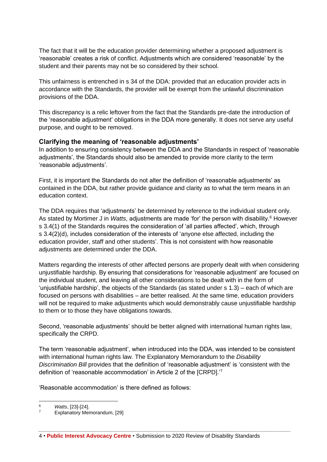The fact that it will be the education provider determining whether a proposed adjustment is 'reasonable' creates a risk of conflict. Adjustments which are considered 'reasonable' by the student and their parents may not be so considered by their school.

This unfairness is entrenched in s 34 of the DDA: provided that an education provider acts in accordance with the Standards, the provider will be exempt from the unlawful discrimination provisions of the DDA.

This discrepancy is a relic leftover from the fact that the Standards pre-date the introduction of the 'reasonable adjustment' obligations in the DDA more generally. It does not serve any useful purpose, and ought to be removed.

#### <span id="page-5-0"></span>**Clarifying the meaning of 'reasonable adjustments'**

In addition to ensuring consistency between the DDA and the Standards in respect of 'reasonable adjustments', the Standards should also be amended to provide more clarity to the term 'reasonable adjustments'.

First, it is important the Standards do not alter the definition of 'reasonable adjustments' as contained in the DDA, but rather provide guidance and clarity as to what the term means in an education context.

The DDA requires that 'adjustments' be determined by reference to the individual student only. As stated by Mortimer J in *Watts*, adjustments are made 'for' the person with disability.<sup>6</sup> However s 3.4(1) of the Standards requires the consideration of 'all parties affected', which, through s 3.4(2)(d), includes consideration of the interests of 'anyone else affected, including the education provider, staff and other students'. This is not consistent with how reasonable adjustments are determined under the DDA.

Matters regarding the interests of other affected persons are properly dealt with when considering unjustifiable hardship. By ensuring that considerations for 'reasonable adjustment' are focused on the individual student, and leaving all other considerations to be dealt with in the form of 'unjustifiable hardship', the objects of the Standards (as stated under s 1.3) – each of which are focused on persons with disabilities – are better realised. At the same time, education providers will not be required to make adjustments which would demonstrably cause unjustifiable hardship to them or to those they have obligations towards.

Second, 'reasonable adjustments' should be better aligned with international human rights law, specifically the CRPD.

The term 'reasonable adjustment', when introduced into the DDA, was intended to be consistent with international human rights law. The Explanatory Memorandum to the *Disability Discrimination Bill* provides that the definition of 'reasonable adjustment' is 'consistent with the definition of 'reasonable accommodation' in Article 2 of the [CRPD].' 7

'Reasonable accommodation' is there defined as follows:

<sup>6</sup> *Watts*, [23]-[24].

Explanatory Memorandum, [29]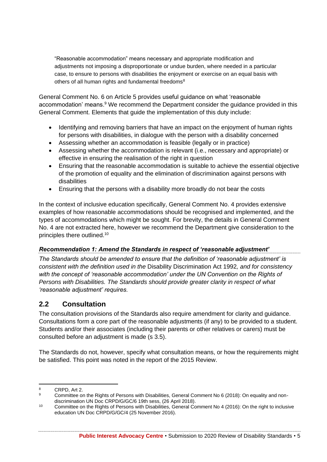"Reasonable accommodation" means necessary and appropriate modification and adjustments not imposing a disproportionate or undue burden, where needed in a particular case, to ensure to persons with disabilities the enjoyment or exercise on an equal basis with others of all human rights and fundamental freedoms<sup>8</sup>

General Comment No. 6 on Article 5 provides useful guidance on what 'reasonable accommodation' means.<sup>9</sup> We recommend the Department consider the quidance provided in this General Comment. Elements that guide the implementation of this duty include:

- Identifying and removing barriers that have an impact on the enjoyment of human rights for persons with disabilities, in dialogue with the person with a disability concerned
- Assessing whether an accommodation is feasible (legally or in practice)
- Assessing whether the accommodation is relevant (i.e., necessary and appropriate) or effective in ensuring the realisation of the right in question
- Ensuring that the reasonable accommodation is suitable to achieve the essential objective of the promotion of equality and the elimination of discrimination against persons with disabilities
- Ensuring that the persons with a disability more broadly do not bear the costs

In the context of inclusive education specifically, General Comment No. 4 provides extensive examples of how reasonable accommodations should be recognised and implemented, and the types of accommodations which might be sought. For brevity, the details in General Comment No. 4 are not extracted here, however we recommend the Department give consideration to the principles there outlined.<sup>10</sup>

#### *Recommendation 1: Amend the Standards in respect of 'reasonable adjustment'*

*The Standards should be amended to ensure that the definition of 'reasonable adjustment' is consistent with the definition used in the* Disability Discrimination Act 1992*, and for consistency*  with the concept of 'reasonable accommodation' under the UN Convention on the Rights of *Persons with Disabilities. The Standards should provide greater clarity in respect of what 'reasonable adjustment' requires.*

### <span id="page-6-0"></span>**2.2 Consultation**

The consultation provisions of the Standards also require amendment for clarity and guidance. Consultations form a core part of the reasonable adjustments (if any) to be provided to a student. Students and/or their associates (including their parents or other relatives or carers) must be consulted before an adjustment is made (s 3.5).

The Standards do not, however, specify what consultation means, or how the requirements might be satisfied. This point was noted in the report of the 2015 Review.

 $rac{8}{9}$  CRPD, Art 2.

<sup>9</sup> Committee on the Rights of Persons with Disabilities, General Comment No 6 (2018): On equality and nondiscrimination UN Doc CRPD/G/GC/6 19th sess, (26 April 2018).

<sup>10</sup> Committee on the Rights of Persons with Disabilities, General Comment No 4 (2016): On the right to inclusive education UN Doc CRPD/G/GC/4 (25 November 2016).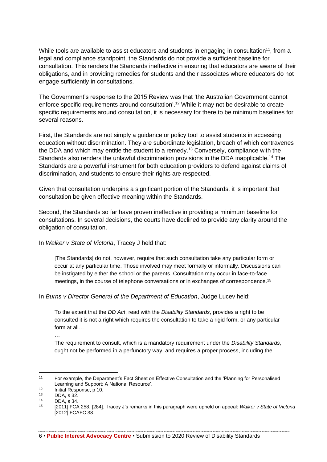While tools are available to assist educators and students in engaging in consultation<sup>11</sup>, from a legal and compliance standpoint, the Standards do not provide a sufficient baseline for consultation. This renders the Standards ineffective in ensuring that educators are aware of their obligations, and in providing remedies for students and their associates where educators do not engage sufficiently in consultations.

The Government's response to the 2015 Review was that 'the Australian Government cannot enforce specific requirements around consultation'.<sup>12</sup> While it may not be desirable to create specific requirements around consultation, it is necessary for there to be minimum baselines for several reasons.

First, the Standards are not simply a guidance or policy tool to assist students in accessing education without discrimination. They are subordinate legislation, breach of which contravenes the DDA and which may entitle the student to a remedy.<sup>13</sup> Conversely, compliance with the Standards also renders the unlawful discrimination provisions in the DDA inapplicable.<sup>14</sup> The Standards are a powerful instrument for both education providers to defend against claims of discrimination, and students to ensure their rights are respected.

Given that consultation underpins a significant portion of the Standards, it is important that consultation be given effective meaning within the Standards.

Second, the Standards so far have proven ineffective in providing a minimum baseline for consultations. In several decisions, the courts have declined to provide any clarity around the obligation of consultation.

In *Walker v State of Victoria*, Tracey J held that:

[The Standards] do not, however, require that such consultation take any particular form or occur at any particular time. Those involved may meet formally or informally. Discussions can be instigated by either the school or the parents. Consultation may occur in face-to-face meetings, in the course of telephone conversations or in exchanges of correspondence.<sup>15</sup>

In *Burns v Director General of the Department of Education*, Judge Lucev held:

To the extent that the *DD Act*, read with the *Disability Standards*, provides a right to be consulted it is not a right which requires the consultation to take a rigid form, or any particular form at all…

The requirement to consult, which is a mandatory requirement under the *Disability Standards*, ought not be performed in a perfunctory way, and requires a proper process, including the

…

6 • **Public Interest Advocacy Centre** • Submission to 2020 Review of Disability Standards

<sup>11</sup> For example, the Department's Fact Sheet on Effective Consultation and the 'Planning for Personalised Learning and Support: A National Resource'.

<sup>&</sup>lt;sup>12</sup> Initial Response, p 10.<br><sup>13</sup> DDA s <sup>32</sup>

 $13$  DDA, s 32.

 $14$  DDA, s 34.

<sup>15</sup> [2011] FCA 258, [284]. Tracey J's remarks in this paragraph were upheld on appeal: *Walker v State of Victoria* [2012] FCAFC 38.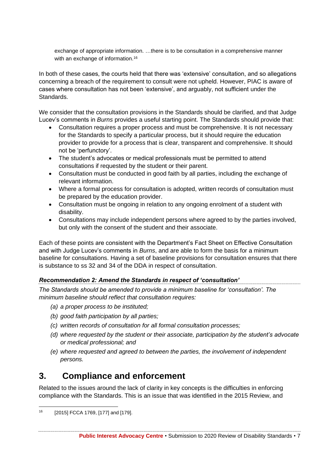exchange of appropriate information. …there is to be consultation in a comprehensive manner with an exchange of information.<sup>16</sup>

In both of these cases, the courts held that there was 'extensive' consultation, and so allegations concerning a breach of the requirement to consult were not upheld. However, PIAC is aware of cases where consultation has not been 'extensive', and arguably, not sufficient under the Standards.

We consider that the consultation provisions in the Standards should be clarified, and that Judge Lucev's comments in *Burns* provides a useful starting point. The Standards should provide that:

- Consultation requires a proper process and must be comprehensive. It is not necessary for the Standards to specify a particular process, but it should require the education provider to provide for a process that is clear, transparent and comprehensive. It should not be 'perfunctory'.
- The student's advocates or medical professionals must be permitted to attend consultations if requested by the student or their parent.
- Consultation must be conducted in good faith by all parties, including the exchange of relevant information.
- Where a formal process for consultation is adopted, written records of consultation must be prepared by the education provider.
- Consultation must be ongoing in relation to any ongoing enrolment of a student with disability.
- Consultations may include independent persons where agreed to by the parties involved, but only with the consent of the student and their associate.

Each of these points are consistent with the Department's Fact Sheet on Effective Consultation and with Judge Lucev's comments in *Burns*, and are able to form the basis for a minimum baseline for consultations. Having a set of baseline provisions for consultation ensures that there is substance to ss 32 and 34 of the DDA in respect of consultation.

### *Recommendation 2: Amend the Standards in respect of 'consultation'*

*The Standards should be amended to provide a minimum baseline for 'consultation'. The minimum baseline should reflect that consultation requires:*

- *(a) a proper process to be instituted;*
- *(b) good faith participation by all parties;*
- *(c) written records of consultation for all formal consultation processes;*
- *(d) where requested by the student or their associate, participation by the student's advocate or medical professional; and*
- *(e) where requested and agreed to between the parties, the involvement of independent persons.*

## <span id="page-8-0"></span>**3. Compliance and enforcement**

Related to the issues around the lack of clarity in key concepts is the difficulties in enforcing compliance with the Standards. This is an issue that was identified in the 2015 Review, and

<sup>16</sup> [2015] FCCA 1769, [177] and [179].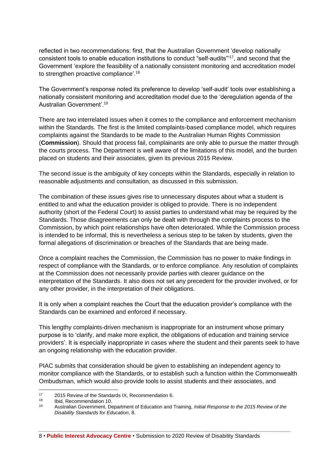reflected in two recommendations: first, that the Australian Government 'develop nationally consistent tools to enable education institutions to conduct "self-audits"'<sup>17</sup>, and second that the Government 'explore the feasibility of a nationally consistent monitoring and accreditation model to strengthen proactive compliance'.<sup>18</sup>

The Government's response noted its preference to develop 'self-audit' tools over establishing a nationally consistent monitoring and accreditation model due to the 'deregulation agenda of the Australian Government'.<sup>19</sup>

There are two interrelated issues when it comes to the compliance and enforcement mechanism within the Standards. The first is the limited complaints-based compliance model, which requires complaints against the Standards to be made to the Australian Human Rights Commission (**Commission**). Should that process fail, complainants are only able to pursue the matter through the courts process. The Department is well aware of the limitations of this model, and the burden placed on students and their associates, given its previous 2015 Review.

The second issue is the ambiguity of key concepts within the Standards, especially in relation to reasonable adjustments and consultation, as discussed in this submission.

The combination of these issues gives rise to unnecessary disputes about what a student is entitled to and what the education provider is obliged to provide. There is no independent authority (short of the Federal Court) to assist parties to understand what may be required by the Standards. Those disagreements can only be dealt with through the complaints process to the Commission, by which point relationships have often deteriorated. While the Commission process is intended to be informal, this is nevertheless a serious step to be taken by students, given the formal allegations of discrimination or breaches of the Standards that are being made.

Once a complaint reaches the Commission, the Commission has no power to make findings in respect of compliance with the Standards, or to enforce compliance. Any resolution of complaints at the Commission does not necessarily provide parties with clearer guidance on the interpretation of the Standards. It also does not set any precedent for the provider involved, or for any other provider, in the interpretation of their obligations.

It is only when a complaint reaches the Court that the education provider's compliance with the Standards can be examined and enforced if necessary.

This lengthy complaints-driven mechanism is inappropriate for an instrument whose primary purpose is to 'clarify, and make more explicit, the obligations of education and training service providers'. It is especially inappropriate in cases where the student and their parents seek to have an ongoing relationship with the education provider.

PIAC submits that consideration should be given to establishing an independent agency to monitor compliance with the Standards, or to establish such a function within the Commonwealth Ombudsman, which would also provide tools to assist students and their associates, and

8 • **Public Interest Advocacy Centre** • Submission to 2020 Review of Disability Standards

<sup>&</sup>lt;sup>17</sup> 2015 Review of the Standards IX, Recommendation 6.<br><sup>18</sup> Lhid Recommendation 10

 $18$  Ibid, Recommendation 10.<br> $19$  Australian Government, De

<sup>19</sup> Australian Government, Department of Education and Training, *Initial Response to the 2015 Review of the Disability Standards for Education*, 8.